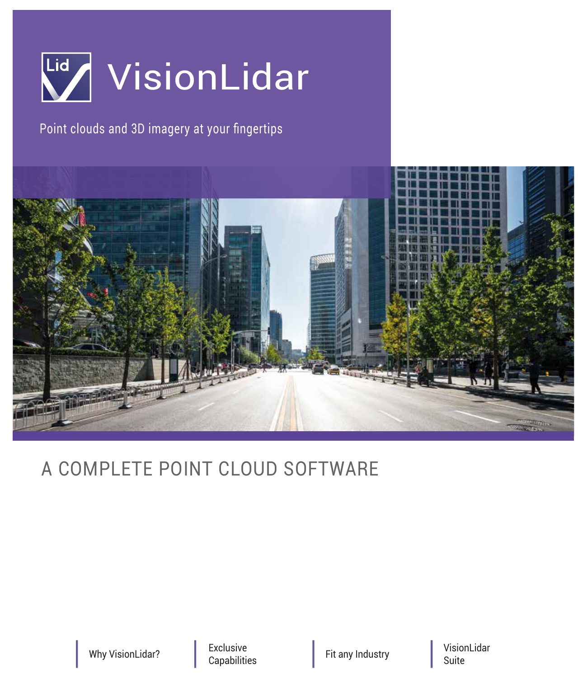

# Point clouds and 3D imagery at your fingertips



# A COMPLETE POINT CLOUD SOFTWARE

Why VisionLidar? **Exclusive**<br>
Capabilities

Fit any Industry

VisionLidar Suite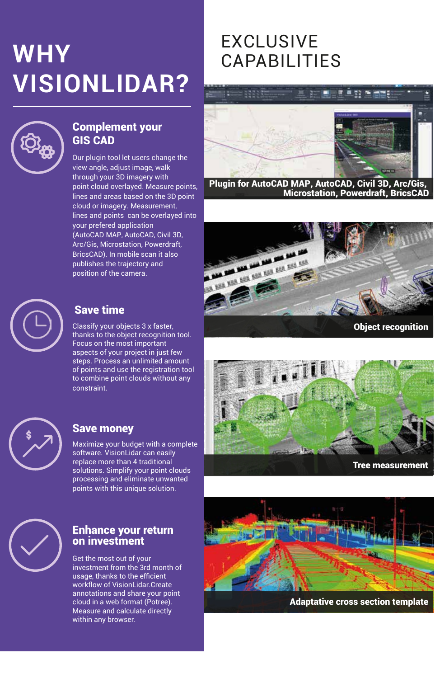# EXCLUSIVE **WHY** CAPABILITIES **VISIONLIDAR?**



# Complement your GIS CAD

Our plugin tool let users change the view angle, adjust image, walk through your 3D imagery with point cloud overlayed. Measure points, lines and areas based on the 3D point cloud or imagery. Measurement, lines and points can be overlayed into your prefered application (AutoCAD MAP, AutoCAD, Civil 3D, Arc/Gis, Microstation, Powerdraft, BricsCAD). In mobile scan it also publishes the trajectory and position of the camera.

# Save time

Classify your objects 3 x faster, thanks to the object recognition tool. Focus on the most important aspects of your project in just few steps. Process an unlimited amount of points and use the registration tool to combine point clouds without any constraint.



# Save money

Maximize your budget with a complete software. VisionLidar can easily replace more than 4 traditional solutions. Simplify your point clouds processing and eliminate unwanted points with this unique solution.



# Enhance your return on investment

Get the most out of your investment from the 3rd month of usage, thanks to the efficient workflow of VisionLidar.Create annotations and share your point cloud in a web format (Potree). Measure and calculate directly within any browser.



Plugin for AutoCAD MAP, AutoCAD, Civil 3D, Arc/Gis, Microstation, Powerdraft, BricsCAD



Object recognition





Adaptative cross section template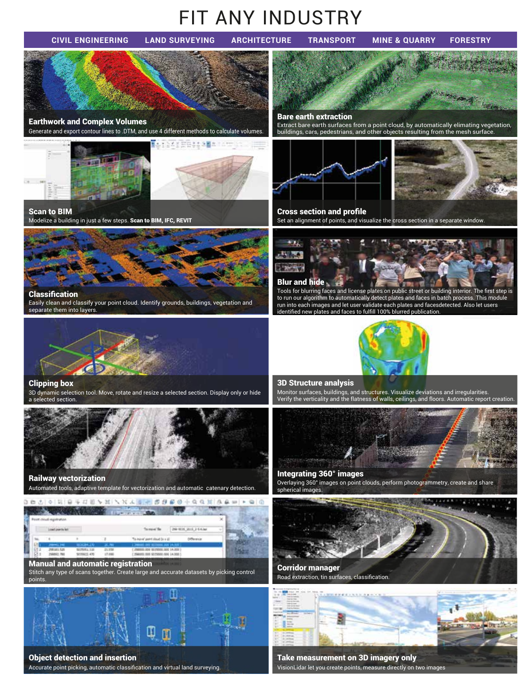# FIT ANY INDUSTRY

**CIVIL ENGINEERING LAND SURVEYING ARCHITECTURE TRANSPORT MINE & QUARRY FORESTRY**

Generate and export contour lines to .DTM, and use 4 different methods to calculate volumes. Earthwork and Complex Volumes Extraction Extraction Extraction Extraction Extraction Extraction Extraction Extraction, Extraction, Extraction, Extraction, Extraction, Extraction, Extraction, Extraction, Extraction, Extract buildings, cars, pedestrians, and other objects resulting from the mesh surface. Ī



# Scan to BIM

Modelize a building in just a few steps. Scan to BIM, IFC, REVIT



Easily clean and classify your point cloud. Identify grounds, buildings, vegetation and separate them into layers.



# Clipping box

3D dynamic selection tool. Move, rotate and resize a selected section. Display only or hide a selected section.



Railway vectorization Automated tools, adaptive template for vectorization and automatic catenary detection.



Stitch any type of scans together. Create large and accurate datasets by picking control points.



# Object detection and insertion

Accurate point picking, automatic classification and virtual land surveying.



# Cross section and profile

Set an alignment of points, and visualize the cross section in a separate window.

# Blur and hide



Classification **Tools for blurring faces and license plates on public street or building interior.** The first step is to run our algorithm to automatically detect plates and faces in batch process. This module run into each images and let user validate each plates and facesdetected. Also let users identified new plates and faces to fulfill 100% blurred publication.



# 3D Structure analysis

Monitor surfaces, buildings, and structures. Visualize deviations and irregularities. Verify the verticality and the flatness of walls, ceilings, and floors. Automatic report creation.



# Integrating 360° images

Overlaying 360° images on point clouds, perform photogrammetry, create and share spherical images.



Corridor manager Road extraction, tin surfaces, classification.



Take measurement on 3D imagery only VisionLidar let you create points, measure directly on two images